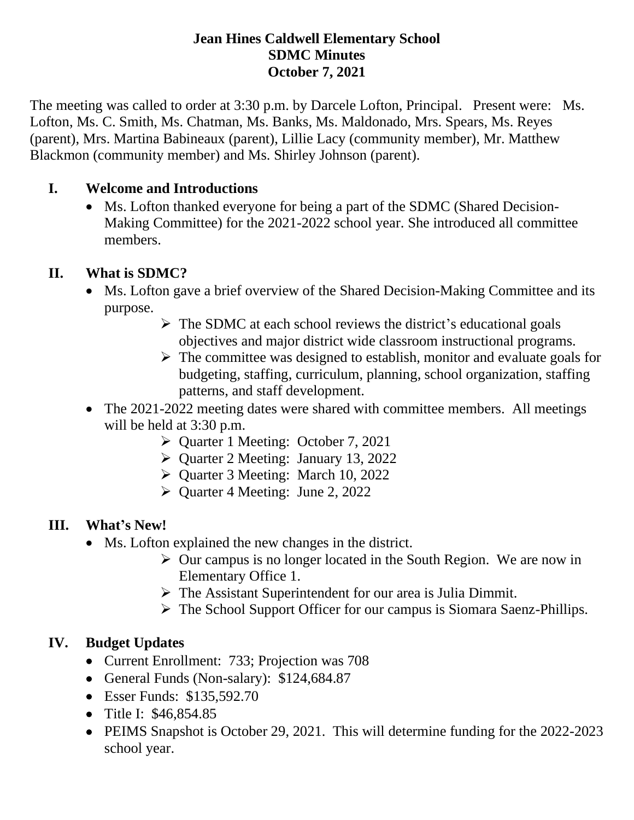### **Jean Hines Caldwell Elementary School SDMC Minutes October 7, 2021**

The meeting was called to order at 3:30 p.m. by Darcele Lofton, Principal. Present were: Ms. Lofton, Ms. C. Smith, Ms. Chatman, Ms. Banks, Ms. Maldonado, Mrs. Spears, Ms. Reyes (parent), Mrs. Martina Babineaux (parent), Lillie Lacy (community member), Mr. Matthew Blackmon (community member) and Ms. Shirley Johnson (parent).

## **I. Welcome and Introductions**

• Ms. Lofton thanked everyone for being a part of the SDMC (Shared Decision-Making Committee) for the 2021-2022 school year. She introduced all committee members.

## **II. What is SDMC?**

- Ms. Lofton gave a brief overview of the Shared Decision-Making Committee and its purpose.
	- $\triangleright$  The SDMC at each school reviews the district's educational goals objectives and major district wide classroom instructional programs.
	- $\triangleright$  The committee was designed to establish, monitor and evaluate goals for budgeting, staffing, curriculum, planning, school organization, staffing patterns, and staff development.
- The 2021-2022 meeting dates were shared with committee members. All meetings will be held at 3:30 p.m.
	- ➢ Quarter 1 Meeting: October 7, 2021
	- ➢ Quarter 2 Meeting: January 13, 2022
	- ➢ Quarter 3 Meeting: March 10, 2022
	- ➢ Quarter 4 Meeting: June 2, 2022

### **III. What's New!**

- Ms. Lofton explained the new changes in the district.
	- ➢ Our campus is no longer located in the South Region. We are now in Elementary Office 1.
	- ➢ The Assistant Superintendent for our area is Julia Dimmit.
	- ➢ The School Support Officer for our campus is Siomara Saenz-Phillips.

# **IV. Budget Updates**

- Current Enrollment: 733; Projection was 708
- General Funds (Non-salary): \$124,684.87
- Esser Funds: \$135,592.70
- Title I: \$46,854.85
- PEIMS Snapshot is October 29, 2021. This will determine funding for the 2022-2023 school year.